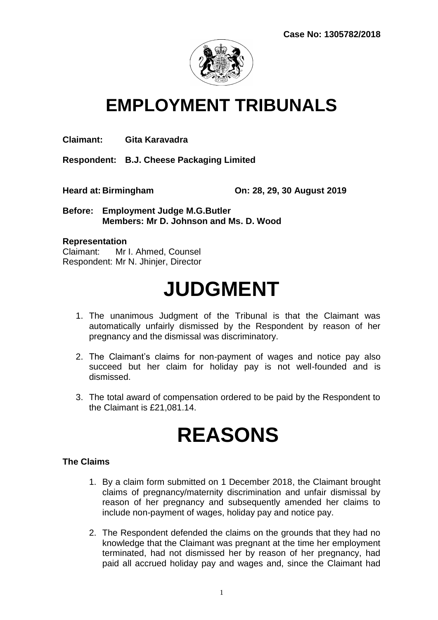

# **EMPLOYMENT TRIBUNALS**

**Claimant: Gita Karavadra**

**Respondent: B.J. Cheese Packaging Limited** 

**Heard at: Birmingham On: 28, 29, 30 August 2019** 

**Before: Employment Judge M.G.Butler Members: Mr D. Johnson and Ms. D. Wood**

#### **Representation**

Claimant: Mr I. Ahmed, Counsel Respondent: Mr N. Jhinjer, Director

# **JUDGMENT**

- 1. The unanimous Judgment of the Tribunal is that the Claimant was automatically unfairly dismissed by the Respondent by reason of her pregnancy and the dismissal was discriminatory.
- 2. The Claimant's claims for non-payment of wages and notice pay also succeed but her claim for holiday pay is not well-founded and is dismissed.
- 3. The total award of compensation ordered to be paid by the Respondent to the Claimant is £21,081.14.

# **REASONS**

#### **The Claims**

- 1. By a claim form submitted on 1 December 2018, the Claimant brought claims of pregnancy/maternity discrimination and unfair dismissal by reason of her pregnancy and subsequently amended her claims to include non-payment of wages, holiday pay and notice pay.
- 2. The Respondent defended the claims on the grounds that they had no knowledge that the Claimant was pregnant at the time her employment terminated, had not dismissed her by reason of her pregnancy, had paid all accrued holiday pay and wages and, since the Claimant had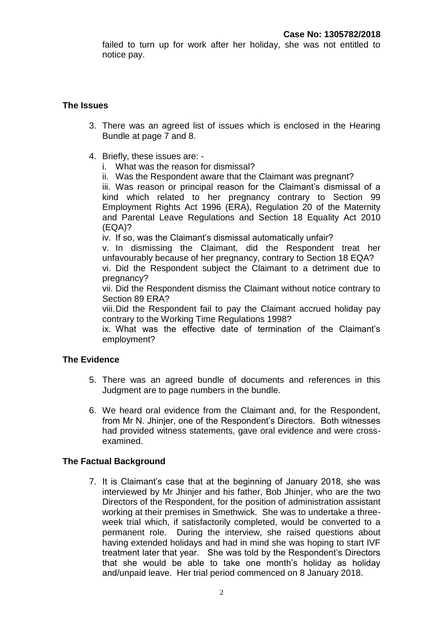failed to turn up for work after her holiday, she was not entitled to notice pay.

### **The Issues**

- 3. There was an agreed list of issues which is enclosed in the Hearing Bundle at page 7 and 8.
- 4. Briefly, these issues are:
	- i. What was the reason for dismissal?
	- ii. Was the Respondent aware that the Claimant was pregnant?

iii. Was reason or principal reason for the Claimant's dismissal of a kind which related to her pregnancy contrary to Section 99 Employment Rights Act 1996 (ERA), Regulation 20 of the Maternity and Parental Leave Regulations and Section 18 Equality Act 2010 (EQA)?

iv. If so, was the Claimant's dismissal automatically unfair?

v. In dismissing the Claimant, did the Respondent treat her unfavourably because of her pregnancy, contrary to Section 18 EQA?

vi. Did the Respondent subject the Claimant to a detriment due to pregnancy?

vii. Did the Respondent dismiss the Claimant without notice contrary to Section 89 ERA?

viii.Did the Respondent fail to pay the Claimant accrued holiday pay contrary to the Working Time Regulations 1998?

ix. What was the effective date of termination of the Claimant's employment?

# **The Evidence**

- 5. There was an agreed bundle of documents and references in this Judgment are to page numbers in the bundle.
- 6. We heard oral evidence from the Claimant and, for the Respondent, from Mr N. Jhinjer, one of the Respondent's Directors. Both witnesses had provided witness statements, gave oral evidence and were crossexamined.

# **The Factual Background**

7. It is Claimant's case that at the beginning of January 2018, she was interviewed by Mr Jhinjer and his father, Bob Jhinjer, who are the two Directors of the Respondent, for the position of administration assistant working at their premises in Smethwick. She was to undertake a threeweek trial which, if satisfactorily completed, would be converted to a permanent role. During the interview, she raised questions about having extended holidays and had in mind she was hoping to start IVF treatment later that year. She was told by the Respondent's Directors that she would be able to take one month's holiday as holiday and/unpaid leave. Her trial period commenced on 8 January 2018.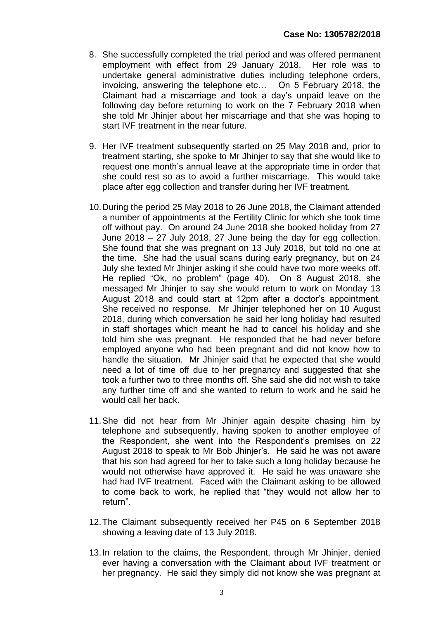- 8. She successfully completed the trial period and was offered permanent employment with effect from 29 January 2018. Her role was to undertake general administrative duties including telephone orders, invoicing, answering the telephone etc… On 5 February 2018, the Claimant had a miscarriage and took a day's unpaid leave on the following day before returning to work on the 7 February 2018 when she told Mr Jhinjer about her miscarriage and that she was hoping to start IVF treatment in the near future.
- 9. Her IVF treatment subsequently started on 25 May 2018 and, prior to treatment starting, she spoke to Mr Jhinjer to say that she would like to request one month's annual leave at the appropriate time in order that she could rest so as to avoid a further miscarriage. This would take place after egg collection and transfer during her IVF treatment.
- 10.During the period 25 May 2018 to 26 June 2018, the Claimant attended a number of appointments at the Fertility Clinic for which she took time off without pay. On around 24 June 2018 she booked holiday from 27 June 2018 – 27 July 2018, 27 June being the day for egg collection. She found that she was pregnant on 13 July 2018, but told no one at the time. She had the usual scans during early pregnancy, but on 24 July she texted Mr Jhinjer asking if she could have two more weeks off. He replied "Ok, no problem" (page 40). On 8 August 2018, she messaged Mr Jhinjer to say she would return to work on Monday 13 August 2018 and could start at 12pm after a doctor's appointment. She received no response. Mr Jhinjer telephoned her on 10 August 2018, during which conversation he said her long holiday had resulted in staff shortages which meant he had to cancel his holiday and she told him she was pregnant. He responded that he had never before employed anyone who had been pregnant and did not know how to handle the situation. Mr Jhinjer said that he expected that she would need a lot of time off due to her pregnancy and suggested that she took a further two to three months off. She said she did not wish to take any further time off and she wanted to return to work and he said he would call her back.
- 11.She did not hear from Mr Jhinjer again despite chasing him by telephone and subsequently, having spoken to another employee of the Respondent, she went into the Respondent's premises on 22 August 2018 to speak to Mr Bob Jhinjer's. He said he was not aware that his son had agreed for her to take such a long holiday because he would not otherwise have approved it. He said he was unaware she had had IVF treatment. Faced with the Claimant asking to be allowed to come back to work, he replied that "they would not allow her to return".
- 12.The Claimant subsequently received her P45 on 6 September 2018 showing a leaving date of 13 July 2018.
- 13.In relation to the claims, the Respondent, through Mr Jhinjer, denied ever having a conversation with the Claimant about IVF treatment or her pregnancy. He said they simply did not know she was pregnant at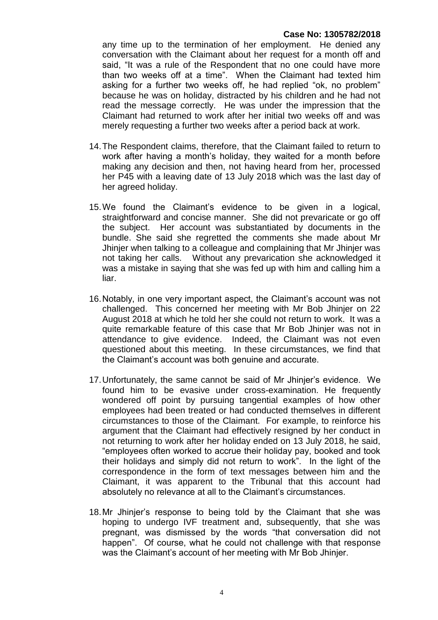any time up to the termination of her employment. He denied any conversation with the Claimant about her request for a month off and said, "It was a rule of the Respondent that no one could have more than two weeks off at a time". When the Claimant had texted him asking for a further two weeks off, he had replied "ok, no problem" because he was on holiday, distracted by his children and he had not read the message correctly. He was under the impression that the Claimant had returned to work after her initial two weeks off and was merely requesting a further two weeks after a period back at work.

- 14.The Respondent claims, therefore, that the Claimant failed to return to work after having a month's holiday, they waited for a month before making any decision and then, not having heard from her, processed her P45 with a leaving date of 13 July 2018 which was the last day of her agreed holiday.
- 15.We found the Claimant's evidence to be given in a logical, straightforward and concise manner. She did not prevaricate or go off the subject. Her account was substantiated by documents in the bundle. She said she regretted the comments she made about Mr Jhinjer when talking to a colleague and complaining that Mr Jhinjer was not taking her calls. Without any prevarication she acknowledged it was a mistake in saying that she was fed up with him and calling him a liar.
- 16.Notably, in one very important aspect, the Claimant's account was not challenged. This concerned her meeting with Mr Bob Jhinjer on 22 August 2018 at which he told her she could not return to work. It was a quite remarkable feature of this case that Mr Bob Jhinjer was not in attendance to give evidence. Indeed, the Claimant was not even questioned about this meeting. In these circumstances, we find that the Claimant's account was both genuine and accurate.
- 17.Unfortunately, the same cannot be said of Mr Jhinjer's evidence. We found him to be evasive under cross-examination. He frequently wondered off point by pursuing tangential examples of how other employees had been treated or had conducted themselves in different circumstances to those of the Claimant. For example, to reinforce his argument that the Claimant had effectively resigned by her conduct in not returning to work after her holiday ended on 13 July 2018, he said, "employees often worked to accrue their holiday pay, booked and took their holidays and simply did not return to work". In the light of the correspondence in the form of text messages between him and the Claimant, it was apparent to the Tribunal that this account had absolutely no relevance at all to the Claimant's circumstances.
- 18.Mr Jhinjer's response to being told by the Claimant that she was hoping to undergo IVF treatment and, subsequently, that she was pregnant, was dismissed by the words "that conversation did not happen". Of course, what he could not challenge with that response was the Claimant's account of her meeting with Mr Bob Jhinjer.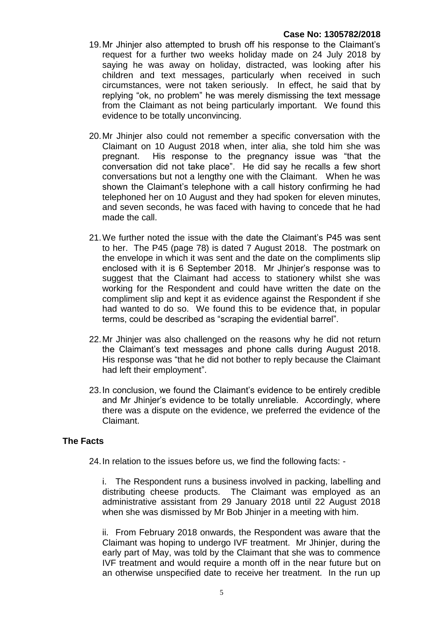- 19.Mr Jhinjer also attempted to brush off his response to the Claimant's request for a further two weeks holiday made on 24 July 2018 by saying he was away on holiday, distracted, was looking after his children and text messages, particularly when received in such circumstances, were not taken seriously. In effect, he said that by replying "ok, no problem" he was merely dismissing the text message from the Claimant as not being particularly important. We found this evidence to be totally unconvincing.
- 20.Mr Jhinjer also could not remember a specific conversation with the Claimant on 10 August 2018 when, inter alia, she told him she was pregnant. His response to the pregnancy issue was "that the conversation did not take place". He did say he recalls a few short conversations but not a lengthy one with the Claimant. When he was shown the Claimant's telephone with a call history confirming he had telephoned her on 10 August and they had spoken for eleven minutes, and seven seconds, he was faced with having to concede that he had made the call.
- 21.We further noted the issue with the date the Claimant's P45 was sent to her. The P45 (page 78) is dated 7 August 2018. The postmark on the envelope in which it was sent and the date on the compliments slip enclosed with it is 6 September 2018. Mr Jhinjer's response was to suggest that the Claimant had access to stationery whilst she was working for the Respondent and could have written the date on the compliment slip and kept it as evidence against the Respondent if she had wanted to do so. We found this to be evidence that, in popular terms, could be described as "scraping the evidential barrel".
- 22.Mr Jhinjer was also challenged on the reasons why he did not return the Claimant's text messages and phone calls during August 2018. His response was "that he did not bother to reply because the Claimant had left their employment".
- 23.In conclusion, we found the Claimant's evidence to be entirely credible and Mr Jhinjer's evidence to be totally unreliable. Accordingly, where there was a dispute on the evidence, we preferred the evidence of the Claimant.

#### **The Facts**

24.In relation to the issues before us, we find the following facts: -

i. The Respondent runs a business involved in packing, labelling and distributing cheese products. The Claimant was employed as an administrative assistant from 29 January 2018 until 22 August 2018 when she was dismissed by Mr Bob Jhinjer in a meeting with him.

ii. From February 2018 onwards, the Respondent was aware that the Claimant was hoping to undergo IVF treatment. Mr Jhinjer, during the early part of May, was told by the Claimant that she was to commence IVF treatment and would require a month off in the near future but on an otherwise unspecified date to receive her treatment. In the run up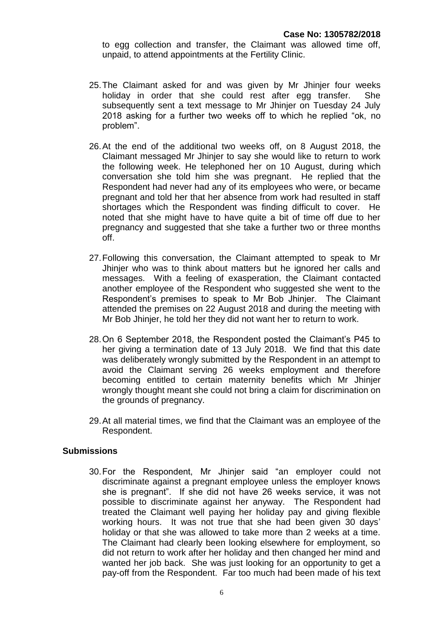to egg collection and transfer, the Claimant was allowed time off, unpaid, to attend appointments at the Fertility Clinic.

- 25.The Claimant asked for and was given by Mr Jhinjer four weeks holiday in order that she could rest after egg transfer. She subsequently sent a text message to Mr Jhinjer on Tuesday 24 July 2018 asking for a further two weeks off to which he replied "ok, no problem".
- 26.At the end of the additional two weeks off, on 8 August 2018, the Claimant messaged Mr Jhinjer to say she would like to return to work the following week. He telephoned her on 10 August, during which conversation she told him she was pregnant. He replied that the Respondent had never had any of its employees who were, or became pregnant and told her that her absence from work had resulted in staff shortages which the Respondent was finding difficult to cover. He noted that she might have to have quite a bit of time off due to her pregnancy and suggested that she take a further two or three months off.
- 27.Following this conversation, the Claimant attempted to speak to Mr Jhinjer who was to think about matters but he ignored her calls and messages. With a feeling of exasperation, the Claimant contacted another employee of the Respondent who suggested she went to the Respondent's premises to speak to Mr Bob Jhinjer. The Claimant attended the premises on 22 August 2018 and during the meeting with Mr Bob Jhinjer, he told her they did not want her to return to work.
- 28.On 6 September 2018, the Respondent posted the Claimant's P45 to her giving a termination date of 13 July 2018. We find that this date was deliberately wrongly submitted by the Respondent in an attempt to avoid the Claimant serving 26 weeks employment and therefore becoming entitled to certain maternity benefits which Mr Jhinjer wrongly thought meant she could not bring a claim for discrimination on the grounds of pregnancy.
- 29.At all material times, we find that the Claimant was an employee of the Respondent.

#### **Submissions**

30.For the Respondent, Mr Jhinjer said "an employer could not discriminate against a pregnant employee unless the employer knows she is pregnant". If she did not have 26 weeks service, it was not possible to discriminate against her anyway. The Respondent had treated the Claimant well paying her holiday pay and giving flexible working hours. It was not true that she had been given 30 days' holiday or that she was allowed to take more than 2 weeks at a time. The Claimant had clearly been looking elsewhere for employment, so did not return to work after her holiday and then changed her mind and wanted her job back. She was just looking for an opportunity to get a pay-off from the Respondent. Far too much had been made of his text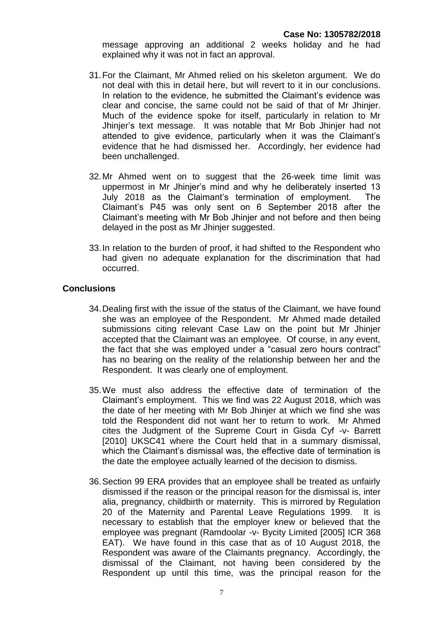message approving an additional 2 weeks holiday and he had explained why it was not in fact an approval.

- 31.For the Claimant, Mr Ahmed relied on his skeleton argument. We do not deal with this in detail here, but will revert to it in our conclusions. In relation to the evidence, he submitted the Claimant's evidence was clear and concise, the same could not be said of that of Mr Jhinjer. Much of the evidence spoke for itself, particularly in relation to Mr Jhinjer's text message. It was notable that Mr Bob Jhinjer had not attended to give evidence, particularly when it was the Claimant's evidence that he had dismissed her. Accordingly, her evidence had been unchallenged.
- 32.Mr Ahmed went on to suggest that the 26-week time limit was uppermost in Mr Jhinjer's mind and why he deliberately inserted 13 July 2018 as the Claimant's termination of employment. The Claimant's P45 was only sent on 6 September 2018 after the Claimant's meeting with Mr Bob Jhinjer and not before and then being delayed in the post as Mr Jhinjer suggested.
- 33.In relation to the burden of proof, it had shifted to the Respondent who had given no adequate explanation for the discrimination that had occurred.

#### **Conclusions**

- 34.Dealing first with the issue of the status of the Claimant, we have found she was an employee of the Respondent. Mr Ahmed made detailed submissions citing relevant Case Law on the point but Mr Jhinjer accepted that the Claimant was an employee. Of course, in any event, the fact that she was employed under a "casual zero hours contract" has no bearing on the reality of the relationship between her and the Respondent. It was clearly one of employment.
- 35.We must also address the effective date of termination of the Claimant's employment. This we find was 22 August 2018, which was the date of her meeting with Mr Bob Jhinjer at which we find she was told the Respondent did not want her to return to work. Mr Ahmed cites the Judgment of the Supreme Court in Gisda Cyf -v- Barrett [2010] UKSC41 where the Court held that in a summary dismissal, which the Claimant's dismissal was, the effective date of termination is the date the employee actually learned of the decision to dismiss.
- 36.Section 99 ERA provides that an employee shall be treated as unfairly dismissed if the reason or the principal reason for the dismissal is, inter alia, pregnancy, childbirth or maternity. This is mirrored by Regulation 20 of the Maternity and Parental Leave Regulations 1999. It is necessary to establish that the employer knew or believed that the employee was pregnant (Ramdoolar -v- Bycity Limited [2005] ICR 368 EAT). We have found in this case that as of 10 August 2018, the Respondent was aware of the Claimants pregnancy. Accordingly, the dismissal of the Claimant, not having been considered by the Respondent up until this time, was the principal reason for the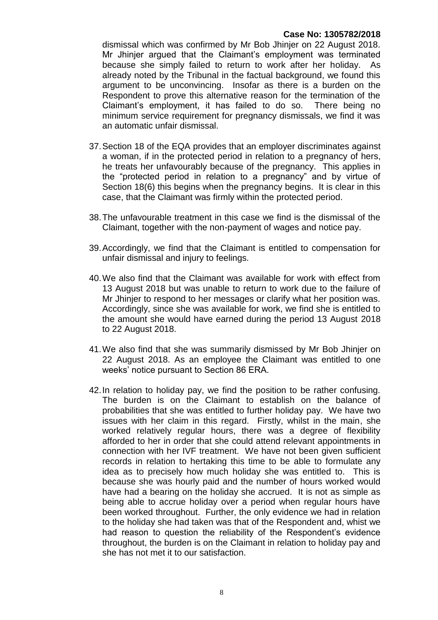dismissal which was confirmed by Mr Bob Jhinjer on 22 August 2018. Mr Jhinjer argued that the Claimant's employment was terminated because she simply failed to return to work after her holiday. As already noted by the Tribunal in the factual background, we found this argument to be unconvincing. Insofar as there is a burden on the Respondent to prove this alternative reason for the termination of the Claimant's employment, it has failed to do so. There being no minimum service requirement for pregnancy dismissals, we find it was an automatic unfair dismissal.

- 37.Section 18 of the EQA provides that an employer discriminates against a woman, if in the protected period in relation to a pregnancy of hers, he treats her unfavourably because of the pregnancy. This applies in the "protected period in relation to a pregnancy" and by virtue of Section 18(6) this begins when the pregnancy begins. It is clear in this case, that the Claimant was firmly within the protected period.
- 38.The unfavourable treatment in this case we find is the dismissal of the Claimant, together with the non-payment of wages and notice pay.
- 39.Accordingly, we find that the Claimant is entitled to compensation for unfair dismissal and injury to feelings.
- 40.We also find that the Claimant was available for work with effect from 13 August 2018 but was unable to return to work due to the failure of Mr Jhinjer to respond to her messages or clarify what her position was. Accordingly, since she was available for work, we find she is entitled to the amount she would have earned during the period 13 August 2018 to 22 August 2018.
- 41.We also find that she was summarily dismissed by Mr Bob Jhinjer on 22 August 2018. As an employee the Claimant was entitled to one weeks' notice pursuant to Section 86 ERA.
- 42.In relation to holiday pay, we find the position to be rather confusing. The burden is on the Claimant to establish on the balance of probabilities that she was entitled to further holiday pay. We have two issues with her claim in this regard. Firstly, whilst in the main, she worked relatively regular hours, there was a degree of flexibility afforded to her in order that she could attend relevant appointments in connection with her IVF treatment. We have not been given sufficient records in relation to hertaking this time to be able to formulate any idea as to precisely how much holiday she was entitled to. This is because she was hourly paid and the number of hours worked would have had a bearing on the holiday she accrued. It is not as simple as being able to accrue holiday over a period when regular hours have been worked throughout. Further, the only evidence we had in relation to the holiday she had taken was that of the Respondent and, whist we had reason to question the reliability of the Respondent's evidence throughout, the burden is on the Claimant in relation to holiday pay and she has not met it to our satisfaction.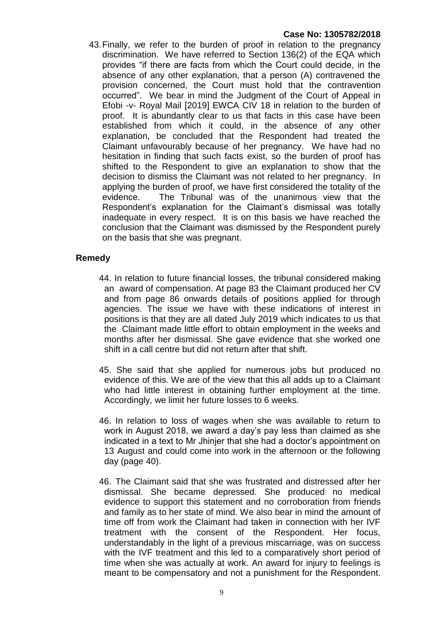43.Finally, we refer to the burden of proof in relation to the pregnancy discrimination. We have referred to Section 136(2) of the EQA which provides "if there are facts from which the Court could decide, in the absence of any other explanation, that a person (A) contravened the provision concerned, the Court must hold that the contravention occurred". We bear in mind the Judgment of the Court of Appeal in Efobi -v- Royal Mail [2019] EWCA CIV 18 in relation to the burden of proof. It is abundantly clear to us that facts in this case have been established from which it could, in the absence of any other explanation, be concluded that the Respondent had treated the Claimant unfavourably because of her pregnancy. We have had no hesitation in finding that such facts exist, so the burden of proof has shifted to the Respondent to give an explanation to show that the decision to dismiss the Claimant was not related to her pregnancy. In applying the burden of proof, we have first considered the totality of the evidence. The Tribunal was of the unanimous view that the Respondent's explanation for the Claimant's dismissal was totally inadequate in every respect. It is on this basis we have reached the conclusion that the Claimant was dismissed by the Respondent purely on the basis that she was pregnant.

### **Remedy**

- 44. In relation to future financial losses, the tribunal considered making an award of compensation. At page 83 the Claimant produced her CV and from page 86 onwards details of positions applied for through agencies. The issue we have with these indications of interest in positions is that they are all dated July 2019 which indicates to us that the Claimant made little effort to obtain employment in the weeks and months after her dismissal. She gave evidence that she worked one shift in a call centre but did not return after that shift.
- 45. She said that she applied for numerous jobs but produced no evidence of this. We are of the view that this all adds up to a Claimant who had little interest in obtaining further employment at the time. Accordingly, we limit her future losses to 6 weeks.
- 46. In relation to loss of wages when she was available to return to work in August 2018, we award a day's pay less than claimed as she indicated in a text to Mr Jhinjer that she had a doctor's appointment on 13 August and could come into work in the afternoon or the following day (page 40).
- 46. The Claimant said that she was frustrated and distressed after her dismissal. She became depressed. She produced no medical evidence to support this statement and no corroboration from friends and family as to her state of mind. We also bear in mind the amount of time off from work the Claimant had taken in connection with her IVF treatment with the consent of the Respondent. Her focus, understandably in the light of a previous miscarriage, was on success with the IVF treatment and this led to a comparatively short period of time when she was actually at work. An award for injury to feelings is meant to be compensatory and not a punishment for the Respondent.